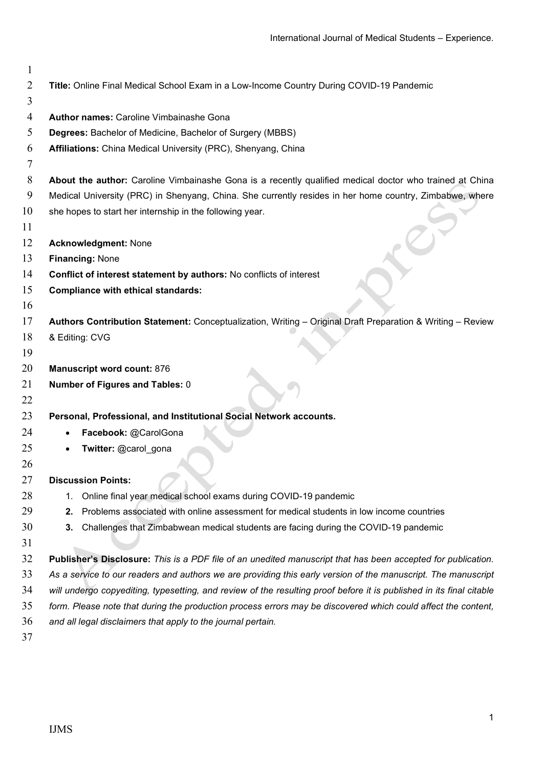| 1              |                                                                                                                      |
|----------------|----------------------------------------------------------------------------------------------------------------------|
| $\overline{2}$ | Title: Online Final Medical School Exam in a Low-Income Country During COVID-19 Pandemic                             |
| 3              |                                                                                                                      |
| 4              | <b>Author names: Caroline Vimbainashe Gona</b>                                                                       |
| 5              | Degrees: Bachelor of Medicine, Bachelor of Surgery (MBBS)                                                            |
| 6              | Affiliations: China Medical University (PRC), Shenyang, China                                                        |
| 7              |                                                                                                                      |
| 8              | About the author: Caroline Vimbainashe Gona is a recently qualified medical doctor who trained at China              |
| 9              | Medical University (PRC) in Shenyang, China. She currently resides in her home country, Zimbabwe, where              |
| 10             | she hopes to start her internship in the following year.                                                             |
| 11             |                                                                                                                      |
| 12             | <b>Acknowledgment: None</b>                                                                                          |
| 13             | Financing: None                                                                                                      |
| 14             | Conflict of interest statement by authors: No conflicts of interest                                                  |
| 15             | <b>Compliance with ethical standards:</b>                                                                            |
| 16             |                                                                                                                      |
| 17             | Authors Contribution Statement: Conceptualization, Writing - Original Draft Preparation & Writing - Review           |
| 18             | & Editing: CVG                                                                                                       |
| 19             |                                                                                                                      |
| 20             | <b>Manuscript word count: 876</b>                                                                                    |
| 21             | Number of Figures and Tables: 0                                                                                      |
| 22             |                                                                                                                      |
| 23             | Personal, Professional, and Institutional Social Network accounts.                                                   |
| 24             | Facebook: @CarolGona                                                                                                 |
| 25             | Twitter: @carol_gona                                                                                                 |
| 26             |                                                                                                                      |
| 27             | <b>Discussion Points:</b>                                                                                            |
| 28             | Online final year medical school exams during COVID-19 pandemic<br>1.                                                |
| 29             | Problems associated with online assessment for medical students in low income countries<br>2.                        |
| 30             | Challenges that Zimbabwean medical students are facing during the COVID-19 pandemic<br>3.                            |
| 31             |                                                                                                                      |
| 32             | Publisher's Disclosure: This is a PDF file of an unedited manuscript that has been accepted for publication.         |
| 33             | As a service to our readers and authors we are providing this early version of the manuscript. The manuscript        |
| 34             | will undergo copyediting, typesetting, and review of the resulting proof before it is published in its final citable |
| 35             | form. Please note that during the production process errors may be discovered which could affect the content,        |
| 36             | and all legal disclaimers that apply to the journal pertain.                                                         |
| 37             |                                                                                                                      |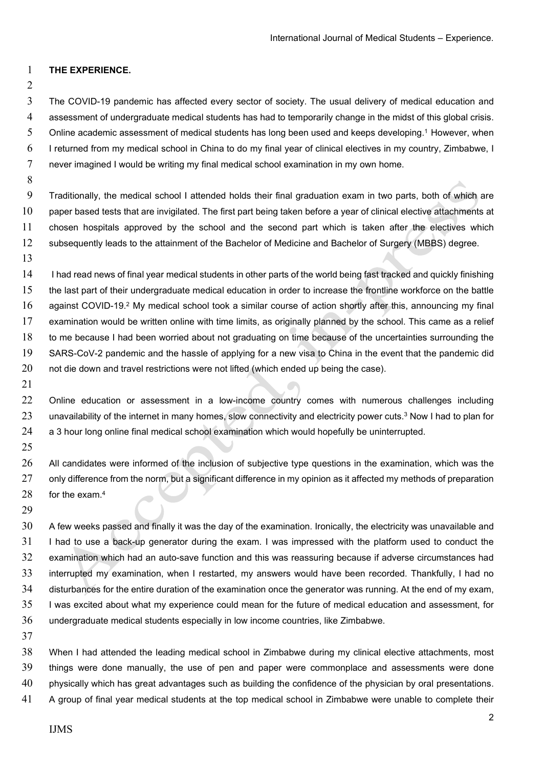## THE EXPERIENCE.

The COVID-19 pandemic has affected every sector of society. The usual delivery of medical education and assessment of undergraduate medical students has had to temporarily change in the midst of this global crisis. Online academic assessment of medical students has long been used and keeps developing.<sup>1</sup> However, when I returned from my medical school in China to do my final year of clinical electives in my country, Zimbabwe, I never imagined I would be writing my final medical school examination in my own home.

Traditionally, the medical school I attended holds their final graduation exam in two parts, both of which are paper based tests that are invigilated. The first part being taken before a year of clinical elective attachments at chosen hospitals approved by the school and the second part which is taken after the electives which subsequently leads to the attainment of the Bachelor of Medicine and Bachelor of Surgery (MBBS) degree.

14 I had read news of final year medical students in other parts of the world being fast tracked and quickly finishing the last part of their undergraduate medical education in order to increase the frontline workforce on the battle 16 against COVID-19.<sup>2</sup> My medical school took a similar course of action shortly after this, announcing my final examination would be written online with time limits, as originally planned by the school. This came as a relief to me because I had been worried about not graduating on time because of the uncertainties surrounding the SARS-CoV-2 pandemic and the hassle of applying for a new visa to China in the event that the pandemic did not die down and travel restrictions were not lifted (which ended up being the case).

Online education or assessment in a low-income country comes with numerous challenges including 23 unavailability of the internet in many homes, slow connectivity and electricity power cuts.<sup>3</sup> Now I had to plan for a 3 hour long online final medical school examination which would hopefully be uninterrupted.

All candidates were informed of the inclusion of subjective type questions in the examination, which was the 27 only difference from the norm, but a significant difference in my opinion as it affected my methods of preparation 28 for the exam. $4$ 

A few weeks passed and finally it was the day of the examination. Ironically, the electricity was unavailable and 31 I had to use a back-up generator during the exam. I was impressed with the platform used to conduct the examination which had an auto-save function and this was reassuring because if adverse circumstances had interrupted my examination, when I restarted, my answers would have been recorded. Thankfully, I had no disturbances for the entire duration of the examination once the generator was running. At the end of my exam, I was excited about what my experience could mean for the future of medical education and assessment, for undergraduate medical students especially in low income countries, like Zimbabwe.

When I had attended the leading medical school in Zimbabwe during my clinical elective attachments, most things were done manually, the use of pen and paper were commonplace and assessments were done 40 physically which has great advantages such as building the confidence of the physician by oral presentations. A group of final year medical students at the top medical school in Zimbabwe were unable to complete their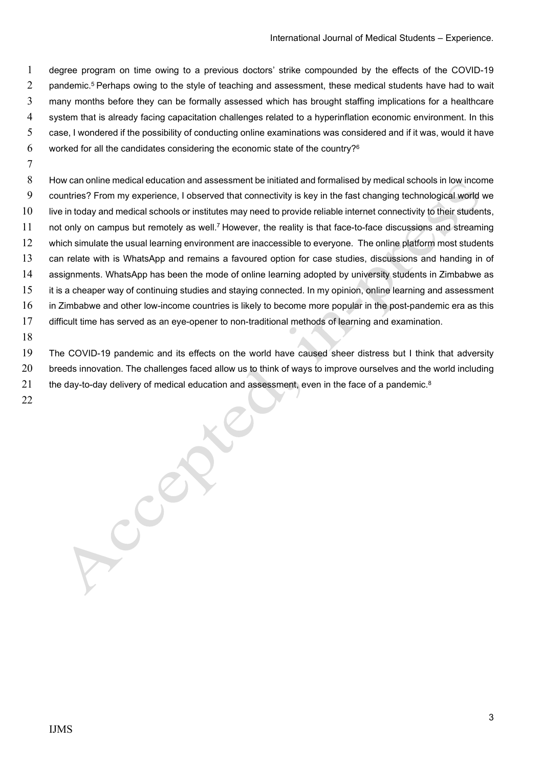degree program on time owing to a previous doctors' strike compounded by the effects of the COVID-19 2 pandemic.<sup>5</sup> Perhaps owing to the style of teaching and assessment, these medical students have had to wait many months before they can be formally assessed which has brought staffing implications for a healthcare system that is already facing capacitation challenges related to a hyperinflation economic environment. In this case, I wondered if the possibility of conducting online examinations was considered and if it was, would it have 6 worked for all the candidates considering the economic state of the country?<sup>6</sup>

How can online medical education and assessment be initiated and formalised by medical schools in low income countries? From my experience, I observed that connectivity is key in the fast changing technological world we 10 live in today and medical schools or institutes may need to provide reliable internet connectivity to their students, 11 not only on campus but remotely as well.<sup>7</sup> However, the reality is that face-to-face discussions and streaming 12 which simulate the usual learning environment are inaccessible to everyone. The online platform most students can relate with is WhatsApp and remains a favoured option for case studies, discussions and handing in of assignments. WhatsApp has been the mode of online learning adopted by university students in Zimbabwe as it is a cheaper way of continuing studies and staying connected. In my opinion, online learning and assessment in Zimbabwe and other low-income countries is likely to become more popular in the post-pandemic era as this difficult time has served as an eye-opener to non-traditional methods of learning and examination.

The COVID-19 pandemic and its effects on the world have caused sheer distress but I think that adversity 20 breeds innovation. The challenges faced allow us to think of ways to improve ourselves and the world including 21 the day-to-day delivery of medical education and assessment, even in the face of a pandemic.<sup>8</sup>

ACCERS